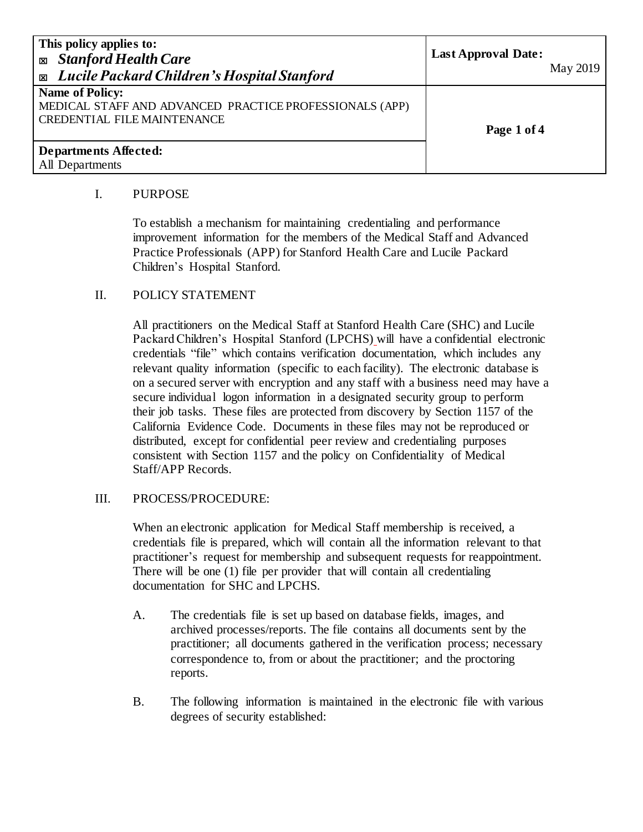| This policy applies to:<br><b>Exp.</b> Stanford Health Care<br><b>Exable 2</b> Lucile Packard Children's Hospital Stanford | <b>Last Approval Date:</b><br>May 2019 |
|----------------------------------------------------------------------------------------------------------------------------|----------------------------------------|
| <b>Name of Policy:</b><br>MEDICAL STAFF AND ADVANCED PRACTICE PROFESSIONALS (APP)<br><b>CREDENTIAL FILE MAINTENANCE</b>    | Page 1 of 4                            |
| Departments Affected:<br>All Departments                                                                                   |                                        |

#### I. PURPOSE

To establish a mechanism for maintaining credentialing and performance improvement information for the members of the Medical Staff and Advanced Practice Professionals (APP) for Stanford Health Care and Lucile Packard Children's Hospital Stanford.

# II. POLICY STATEMENT

All practitioners on the Medical Staff at Stanford Health Care (SHC) and Lucile Packard Children's Hospital Stanford (LPCHS) will have a confidential electronic credentials "file" which contains verification documentation, which includes any relevant quality information (specific to each facility). The electronic database is on a secured server with encryption and any staff with a business need may have a secure individual logon information in a designated security group to perform their job tasks. These files are protected from discovery by Section 1157 of the California Evidence Code. Documents in these files may not be reproduced or distributed, except for confidential peer review and credentialing purposes consistent with Section 1157 and the policy on Confidentiality of Medical Staff/APP Records.

# III. PROCESS/PROCEDURE:

When an electronic application for Medical Staff membership is received, a credentials file is prepared, which will contain all the information relevant to that practitioner's request for membership and subsequent requests for reappointment. There will be one (1) file per provider that will contain all credentialing documentation for SHC and LPCHS.

- A. The credentials file is set up based on database fields, images, and archived processes/reports. The file contains all documents sent by the practitioner; all documents gathered in the verification process; necessary correspondence to, from or about the practitioner; and the proctoring reports.
- B. The following information is maintained in the electronic file with various degrees of security established: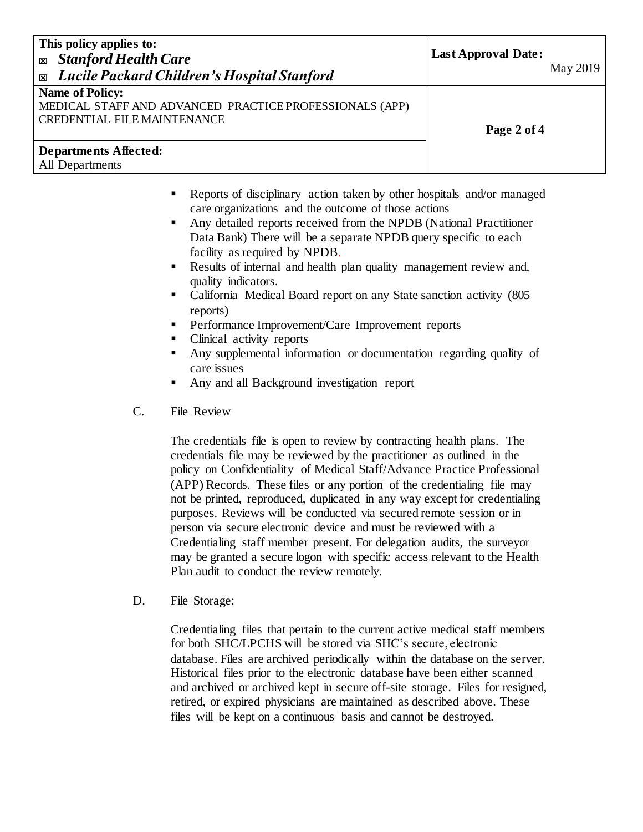| This policy applies to:<br><b>Stanford Health Care</b><br>図<br><b>Exable 2</b> Lucile Packard Children's Hospital Stanford | <b>Last Approval Date:</b><br>May 2019 |
|----------------------------------------------------------------------------------------------------------------------------|----------------------------------------|
| <b>Name of Policy:</b><br>MEDICAL STAFF AND ADVANCED PRACTICE PROFESSIONALS (APP)<br><b>CREDENTIAL FILE MAINTENANCE</b>    | Page 2 of 4                            |
| <b>Departments Affected:</b><br>All Departments                                                                            |                                        |

- Reports of disciplinary action taken by other hospitals and/or managed care organizations and the outcome of those actions
- Any detailed reports received from the NPDB (National Practitioner Data Bank) There will be a separate NPDB query specific to each facility as required by NPDB.
- Results of internal and health plan quality management review and, quality indicators.
- California Medical Board report on any State sanction activity (805 reports)
- Performance Improvement/Care Improvement reports
- Clinical activity reports
- Any supplemental information or documentation regarding quality of care issues
- Any and all Background investigation report
- C. File Review

The credentials file is open to review by contracting health plans. The credentials file may be reviewed by the practitioner as outlined in the policy on Confidentiality of Medical Staff/Advance Practice Professional (APP) Records. These files or any portion of the credentialing file may not be printed, reproduced, duplicated in any way except for credentialing purposes. Reviews will be conducted via secured remote session or in person via secure electronic device and must be reviewed with a Credentialing staff member present. For delegation audits, the surveyor may be granted a secure logon with specific access relevant to the Health Plan audit to conduct the review remotely.

D. File Storage:

Credentialing files that pertain to the current active medical staff members for both SHC/LPCHS will be stored via SHC's secure, electronic database. Files are archived periodically within the database on the server. Historical files prior to the electronic database have been either scanned and archived or archived kept in secure off-site storage. Files for resigned, retired, or expired physicians are maintained as described above. These files will be kept on a continuous basis and cannot be destroyed.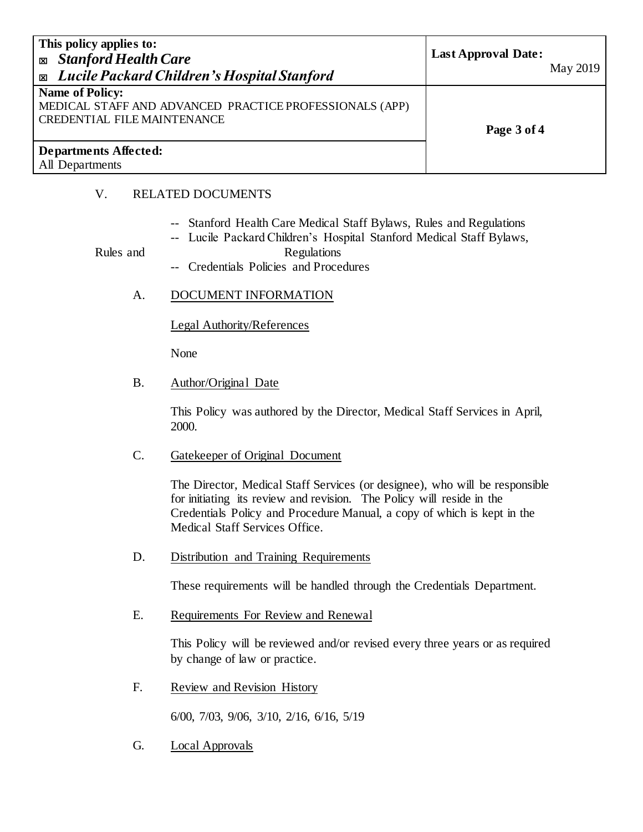| This policy applies to:<br><b>Exp. Stanford Health Care</b><br>Lucile Packard Children's Hospital Stanford<br>$\mathbf{x}$ | <b>Last Approval Date:</b><br>May 2019 |
|----------------------------------------------------------------------------------------------------------------------------|----------------------------------------|
| <b>Name of Policy:</b><br>MEDICAL STAFF AND ADVANCED PRACTICE PROFESSIONALS (APP)<br><b>CREDENTIAL FILE MAINTENANCE</b>    | Page 3 of 4                            |
| Departments Affected:<br>All Departments                                                                                   |                                        |

# V. RELATED DOCUMENTS

- -- Stanford Health Care Medical Staff Bylaws, Rules and Regulations
- -- Lucile Packard Children's Hospital Stanford Medical Staff Bylaws,

#### Rules and Regulations

- -- Credentials Policies and Procedures
- A. DOCUMENT INFORMATION

Legal Authority/References

None

B. Author/Original Date

This Policy was authored by the Director, Medical Staff Services in April, 2000.

C. Gatekeeper of Original Document

The Director, Medical Staff Services (or designee), who will be responsible for initiating its review and revision. The Policy will reside in the Credentials Policy and Procedure Manual, a copy of which is kept in the Medical Staff Services Office.

D. Distribution and Training Requirements

These requirements will be handled through the Credentials Department.

E. Requirements For Review and Renewal

This Policy will be reviewed and/or revised every three years or as required by change of law or practice.

F. Review and Revision History

6/00, 7/03, 9/06, 3/10, 2/16, 6/16, 5/19

G. Local Approvals